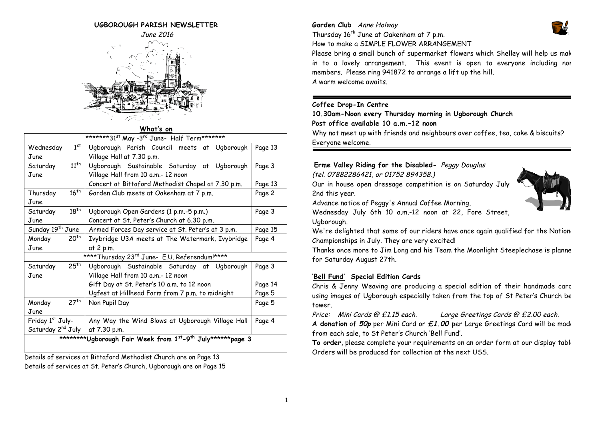#### **UGBOROUGH PARISH NEWSLETTER**



#### **What's on**

| *******31 <sup>st</sup> May -3 <sup>rd</sup> June- Half Term*******                 |                                                                |         |  |  |
|-------------------------------------------------------------------------------------|----------------------------------------------------------------|---------|--|--|
| Wednesday                                                                           | 1 <sup>st</sup><br>Ugborough Parish Council meets at Ugborough | Page 13 |  |  |
| June                                                                                | Village Hall at 7.30 p.m.                                      |         |  |  |
| Saturday                                                                            | $11^{th}$<br>Ugborough Sustainable Saturday at Ugborough       | Page 3  |  |  |
| June                                                                                | Village Hall from 10 a.m.- 12 noon                             |         |  |  |
|                                                                                     | Concert at Bittaford Methodist Chapel at 7.30 p.m.             | Page 13 |  |  |
| $16^{th}$<br>Thursday                                                               | Garden Club meets at Oakenham at 7 p.m.                        | Page 2  |  |  |
| June                                                                                |                                                                |         |  |  |
| $18^{th}$<br>Saturday                                                               | Ugborough Open Gardens (1 p.m.-5 p.m.)                         | Page 3  |  |  |
| June                                                                                | Concert at St. Peter's Church at 6.30 p.m.                     |         |  |  |
| Sunday 19 <sup>th</sup> June                                                        | Armed Forces Day service at St. Peter's at 3 p.m.              | Page 15 |  |  |
| 20 <sup>th</sup><br>Monday                                                          | Ivybridge U3A meets at The Watermark, Ivybridge                | Page 4  |  |  |
| June                                                                                | at 2 p.m.                                                      |         |  |  |
| **** Thursday 23rd June- E.U. Referendum!****                                       |                                                                |         |  |  |
| $25^{th}$<br>Saturday                                                               | Ugborough Sustainable Saturday at Ugborough                    | Page 3  |  |  |
| June                                                                                | Village Hall from 10 a.m.- 12 noon                             |         |  |  |
|                                                                                     | Gift Day at St. Peter's 10 a.m. to 12 noon                     | Page 14 |  |  |
|                                                                                     | Ugfest at Hillhead Farm from 7 p.m. to midnight                | Page 5  |  |  |
| 27 <sup>th</sup><br>Monday                                                          | Non Pupil Day                                                  | Page 5  |  |  |
| June                                                                                |                                                                |         |  |  |
| Friday 1st July-                                                                    | Any Way the Wind Blows at Ugborough Village Hall               | Page 4  |  |  |
| Saturday 2 <sup>nd</sup> July                                                       | at 7.30 p.m.                                                   |         |  |  |
| *********Ugborough Fair Week from 1 <sup>st</sup> -9 <sup>th</sup> July******page 3 |                                                                |         |  |  |
|                                                                                     |                                                                |         |  |  |

Details of services at Bittaford Methodist Church are on Page 13 Details of services at St. Peter's Church, Ugborough are on Page 15

#### **Garden Club** Anne Holway Thursday  $16^{th}$  June at Oakenham at 7 p.m.



How to make a SIMPLE FLOWER ARRANGEMENT

Please bring a small bunch of supermarket flowers which Shelley will help us mak in to a lovely arrangement. This event is open to everyone including nor members. Please ring 941872 to arrange a lift up the hill. A warm welcome awaits.

#### **Coffee Drop-In Centre**

**10.30am-Noon every Thursday morning in Ugborough Church**

#### **Post office available 10 a.m.–12 noon**

Why not meet up with friends and neighbours over coffee, tea, cake & biscuits? Everyone welcome.

#### **Erme Valley Riding for the Disabled-** Peggy Douglas

(tel. 07882286421, or 01752 894358.)

Our in house open dressage competition is on Saturday July 2nd this year.

Advance notice of Peggy's Annual Coffee Morning,

Wednesday July 6th 10 a.m.-12 noon at 22, Fore Street,

Ugborough.

We're delighted that some of our riders have once again qualified for the Nation Championships in July. They are very excited!

Thanks once more to Jim Long and his Team the Moonlight Steeplechase is planned for Saturday August 27th.

#### **'Bell Fund' Special Edition Cards**

Chris & Jenny Weaving are producing a special edition of their handmade cards using images of Ugborough especially taken from the top of St Peter's Church be tower.

Price: Mini Cards @ £1.15 each. Large Greetings Cards @ £2.00 each.

**A donation** of **50p** per Mini Card or **£1.00** per Large Greetings Card will be made, from each sale, to St Peter's Church 'Bell Fund'.

**To order**, please complete your requirements on an order form at our display table. Orders will be produced for collection at the next USS.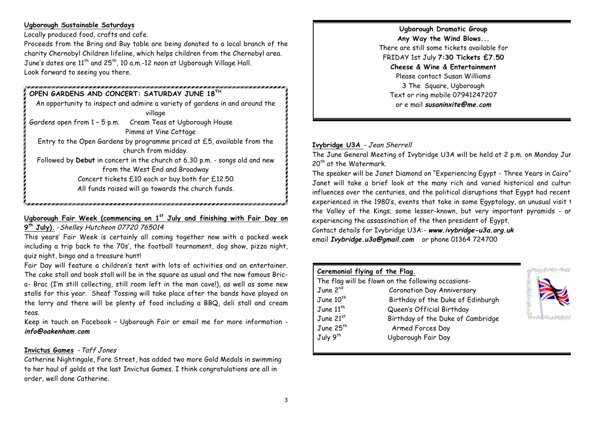## **Ugborough Sustainable Saturdays**

Locally produced food, crafts and cafe.

Proceeds from the Bring and Buy table are being donated to a local branch of the charity Chernobyl Children lifeline, which helps children from the Chernobyl area. June's dates are  $11^{th}$  and  $25^{th}$ , 10 a.m.-12 noon at Uaborough Village Hall. Look forward to seeing you there.

## **OPEN GARDENS AND CONCERT: SATURDAY JUNE 18TH**

An opportunity to inspect and admire a variety of gardens in and around the village Gardens open from 1 – 5 p.m. Cream Teas at Ugborough House Pimms at Vine Cottage Entry to the Open Gardens by programme priced at £5, available from the church from midday. Followed by **Debut** in concert in the church at 6.30 p.m. - songs old and new from the West End and Broadway Concert tickets £10 each or buy both for £12.50 All funds raised will go towards the church funds.

# **Ugborough Fair Week (commencing on 1st July and finishing with Fair Day on**

**9th July).** -Shelley Hutcheon 07720 765014

This years' Fair Week is certainly all coming together now with a packed week including a trip back to the 70s', the football tournament, dog show, pizza night, quiz night, bingo and a treasure hunt!

Fair Day will feature a children's tent with lots of activities and an entertainer. The cake stall and book stall will be in the square as usual and the now famous Brica- Brac (I'm still collecting, still room left in the man cave!), as well as some new stalls for this year. Sheaf Tossing will take place after the bands have played on the lorry and there will be plenty of food including a BBQ, deli stall and cream teas.

Keep in touch on Facebook – Ugborough Fair or email me for more information **info@oakenham.com**

## **Invictus Games** -Taff Jones

Catherine Nightingale, Fore Street, has added two more Gold Medals in swimming to her haul of golds at the last Invictus Games. I think congratulations are all in order, well done Catherine.

**Ugborough Dramatic Group Any Way the Wind Blows...** There are still some tickets available for FRIDAY 1st July **7:30 Tickets £7.50 Cheese & Wine & Entertainment** Please contact Susan Williams 3 The Square, Ugborough Text or ring mobile 07941247207 or e mail **susaninxite@me.com**

## **Ivybridge U3A** - Jean Sherrell

The June General Meeting of Ivybridge U3A will be held at 2 p.m. on Monday June 20<sup>th</sup> at the Watermark.

The speaker will be Janet Diamond on "Experiencing Egypt - Three Years in Cairo" Janet will take a brief look at the many rich and varied historical and culture influences over the centuries, and the political disruptions that Egypt had recent experienced in the 1980's, events that take in some Egyptology, an unusual visit 1 the Valley of the Kings; some lesser-known, but very important pyramids - an experiencing the assassination of the then president of Egypt.

Contact details for Ivybridge U3A:- **www.ivybridge-u3a.org.uk**  email **Ivybridge.u3a@gmail.com** or phone 01364 724700

| Ceremonial flying of the Flag.                     |                                   |  |
|----------------------------------------------------|-----------------------------------|--|
| The flag will be flown on the following occasions- |                                   |  |
| June 2 <sup>nd</sup>                               | <b>Coronation Day Anniversary</b> |  |
| June $10^{th}$                                     | Birthday of the Duke of Edinburgh |  |
| June $11^{th}$                                     | Queen's Official Birthday         |  |
| June $21st$                                        | Birthday of the Duke of Cambridge |  |
| June 25 <sup>th</sup>                              | Armed Forces Day                  |  |
| July 9 <sup>th</sup>                               | Ugborough Fair Day                |  |
|                                                    |                                   |  |

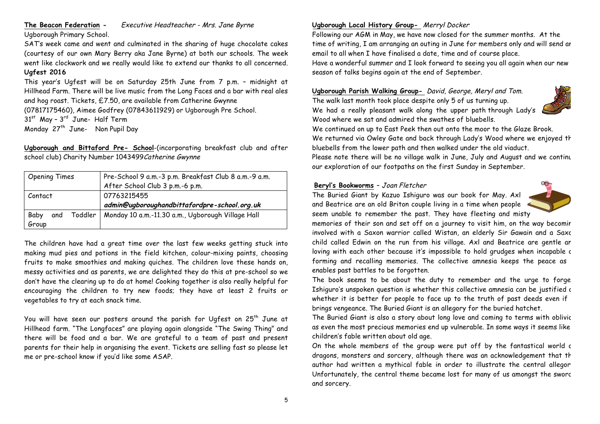## **The Beacon Federation -** Executive Headteacher - Mrs. Jane Byrne

Ugborough Primary School.

SAT's week came and went and culminated in the sharing of huge chocolate cakes (courtesy of our own Mary Berry aka Jane Byrne) at both our schools. The week went like clockwork and we really would like to extend our thanks to all concerned. **Ugfest 2016**

This year's Ugfest will be on Saturday 25th June from 7 p.m. – midnight at Hillhead Farm. There will be live music from the Long Faces and a bar with real ales and hog roast. Tickets, £7.50, are available from Catherine Gwynne (07817175460), Aimee Godfrey (07843611929) or Ugborough Pre School.  $31<sup>st</sup>$  May -  $3<sup>rd</sup>$  June- Half Term Monday  $27<sup>th</sup>$  June- Non Pupil Day

**Ugborough and Bittaford Pre- School**-(incorporating breakfast club and after school club) Charity Number 1043499 Catherine Gwynne

| <b>Opening Times</b>   | Pre-School 9 a.m.-3 p.m. Breakfast Club 8 a.m.-9 a.m. |  |
|------------------------|-------------------------------------------------------|--|
|                        | After School Club 3 p.m.-6 p.m.                       |  |
| Contact                | 07763215455                                           |  |
|                        | admin@ugboroughandbittafordpre-school.org.uk          |  |
| Toddler<br>and<br>Baby | Monday 10 a.m.-11.30 a.m., Ugborough Village Hall     |  |
| Group                  |                                                       |  |

The children have had a great time over the last few weeks getting stuck into making mud pies and potions in the field kitchen, colour-mixing paints, choosing fruits to make smoothies and making quiches. The children love these hands on, messy activities and as parents, we are delighted they do this at pre-school so we don't have the clearing up to do at home! Cooking together is also really helpful for encouraging the children to try new foods; they have at least 2 fruits or vegetables to try at each snack time.

You will have seen our posters around the parish for Ugfest on 25<sup>th</sup> June at Hillhead farm. "The Longfaces" are playing again alongside "The Swing Thing" and there will be food and a bar. We are grateful to a team of past and present parents for their help in organising the event. Tickets are selling fast so please let me or pre-school know if you'd like some ASAP.

## **Ugborough Local History Group-** Merryl Docker

Following our AGM in May, we have now closed for the summer months. At the time of writing, I am arranging an outing in June for members only and will send an email to all when I have finalised a date, time and of course place. Have a wonderful summer and I look forward to seeing you all again when our new season of talks begins again at the end of September.

**Ugborough Parish Walking Group-** David, George, Meryl and Tom.

The walk last month took place despite only 5 of us turning up. We had a really pleasant walk along the upper path through Lady's Wood where we sat and admired the swathes of bluebells.



We continued on up to East Peek then out onto the moor to the Glaze Brook. We returned via Owley Gate and back through Lady's Wood where we enjoyed the bluebells from the lower path and then walked under the old viaduct.

Please note there will be no village walk in June, July and August and we continu our exploration of our footpaths on the first Sunday in September.

#### **Beryl's Bookworms** – Joan Fletcher

The Buried Giant by Kazuo Ishiguro was our book for May. Axl and Beatrice are an old Briton couple living in a time when people seem unable to remember the past. They have fleeting and misty



memories of their son and set off on a journey to visit him, on the way becomir involved with a Saxon warrior called Wistan, an elderly Sir Gawain and a Saxc child called Edwin on the run from his village. Axl and Beatrice are gentle an loving with each other because it's impossible to hold grudges when incapable c forming and recalling memories. The collective amnesia keeps the peace as enables past battles to be forgotten.

The book seems to be about the duty to remember and the urge to forge Ishiguro's unspoken question is whether this collective amnesia can be justified a whether it is better for people to face up to the truth of past deeds even if brings vengeance. The Buried Giant is an allegory for the buried hatchet.

The Buried Giant is also a story about long love and coming to terms with oblivic as even the most precious memories end up vulnerable. In some ways it seems like children's fable written about old age.

On the whole members of the group were put off by the fantastical world c dragons, monsters and sorcery, although there was an acknowledgement that th author had written a mythical fable in order to illustrate the central allegor Unfortunately, the central theme became lost for many of us amongst the sworc and sorcery.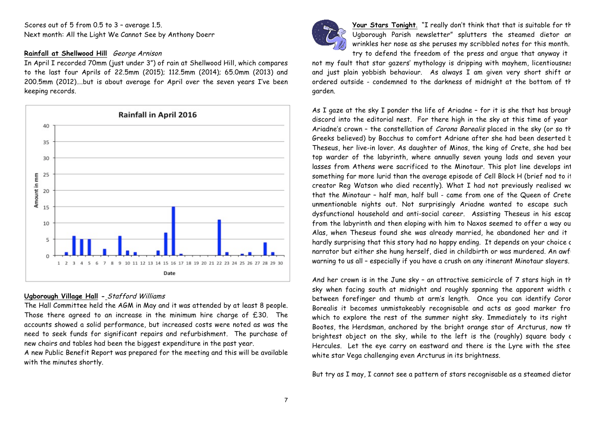Scores out of 5 from 0.5 to 3 – average 1.5. Next month: All the Light We Cannot See by Anthony Doerr

## **Rainfall at Shellwood Hill** George Arnison

In April I recorded 70mm (just under 3") of rain at Shellwood Hill, which compares to the last four Aprils of 22.5mm (2015); 112.5mm (2014); 65.0mm (2013) and 200.5mm (2012)….but is about average for April over the seven years I've been keeping records.



## **Ugborough Village Hall -** Stafford Williams

The Hall Committee held the AGM in May and it was attended by at least 8 people. Those there agreed to an increase in the minimum hire charge of £30. The accounts showed a solid performance, but increased costs were noted as was the need to seek funds for significant repairs and refurbishment. The purchase of new chairs and tables had been the biggest expenditure in the past year.

A new Public Benefit Report was prepared for the meeting and this will be available with the minutes shortly.



Your Stars Tonight. "I really don't think that that is suitable for the Ugborough Parish newsletter" splutters the steamed dietor an wrinkles her nose as she peruses my scribbled notes for this month. try to defend the freedom of the press and argue that anyway it

not my fault that star gazers' mythology is dripping with mayhem, licentiousnes and just plain yobbish behaviour. As always I am given very short shift an ordered outside - condemned to the darkness of midnight at the bottom of th garden.

As I gaze at the sky I ponder the life of Ariadne  $-$  for it is she that has brought discord into the editorial nest. For there high in the sky at this time of year Ariadne's crown - the constellation of Corona Borealis placed in the sky (or so th Greeks believed) by Bacchus to comfort Adriane after she had been deserted  $t$ Theseus, her live-in lover. As daughter of Minos, the king of Crete, she had been top warder of the labyrinth, where annually seven young lads and seven your lasses from Athens were sacrificed to the Minotaur. This plot line develops int something far more lurid than the average episode of Cell Block H (brief nod to it creator Reg Watson who died recently). What I had not previously realised we that the Minotaur - half man, half bull - came from one of the Queen of Crete unmentionable nights out. Not surprisingly Ariadne wanted to escape such dysfunctional household and anti-social career. Assisting Theseus in his escape from the labyrinth and then eloping with him to Naxos seemed to offer a way ou Alas, when Theseus found she was already married, he abandoned her and it hardly surprising that this story had no happy ending. It depends on your choice c narrator but either she hung herself, died in childbirth or was murdered. An awf warning to us all – especially if you have a crush on any itinerant Minotaur slayers.

And her crown is in the June sky - an attractive semicircle of  $7$  stars high in the sky when facing south at midnight and roughly spanning the apparent width c between forefinger and thumb at arm's length. Once you can identify Coror Borealis it becomes unmistakeably recognisable and acts as good marker from which to explore the rest of the summer night sky. Immediately to its right Bootes, the Herdsman, anchored by the bright orange star of Arcturus, now th brightest object on the sky, while to the left is the (roughly) square body a Hercules. Let the eye carry on eastward and there is the Lyre with the steely white star Vega challenging even Arcturus in its brightness.

But try as I may, I cannot see a pattern of stars recognisable as a steamed dietor.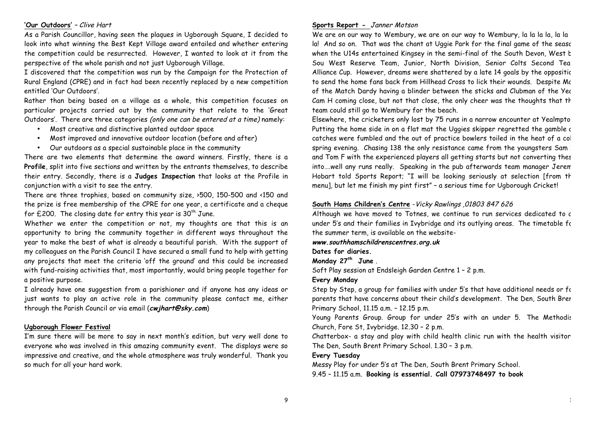#### **'Our Outdoors'** – Clive Hart

As a Parish Councillor, having seen the plaques in Ugborough Square, I decided to look into what winning the Best Kept Village award entailed and whether entering the competition could be resurrected. However, I wanted to look at it from the perspective of the whole parish and not just Ugborough Village.

I discovered that the competition was run by the Campaign for the Protection of Rural England (CPRE) and in fact had been recently replaced by a new competition entitled 'Our Outdoors'.

Rather than being based on a village as a whole, this competition focuses on particular projects carried out by the community that relate to the 'Great Outdoors'. There are three categories (only one can be entered at a time) namely:

- Most creative and distinctive planted outdoor space
- Most improved and innovative outdoor location (before and after)
- Our outdoors as a special sustainable place in the community

There are two elements that determine the award winners. Firstly, there is a **Profile**, split into five sections and written by the entrants themselves, to describe their entry. Secondly, there is a **Judges Inspection** that looks at the Profile in conjunction with a visit to see the entry.

There are three trophies, based on community size, >500, 150-500 and <150 and the prize is free membership of the CPRE for one year, a certificate and a cheque for  $£200$ . The closing date for entry this year is  $30<sup>th</sup>$  June.

Whether we enter the competition or not, my thoughts are that this is an opportunity to bring the community together in different ways throughout the year to make the best of what is already a beautiful parish. With the support of my colleagues on the Parish Council I have secured a small fund to help with getting any projects that meet the criteria 'off the ground' and this could be increased with fund-raising activities that, most importantly, would bring people together for a positive purpose.

I already have one suggestion from a parishioner and if anyone has any ideas or just wants to play an active role in the community please contact me, either through the Parish Council or via email (**cwjhart@sky.com**)

#### **Ugborough Flower Festival**

I'm sure there will be more to say in next month's edition, but very well done to everyone who was involved in this amazing community event. The displays were so impressive and creative, and the whole atmosphere was truly wonderful. Thank you so much for all your hard work.

#### **Sports Report -** Janner Motson

We are on our way to Wembury, we are on our way to Wembury, la la la la, la la la! And so on. That was the chant at Uggie Park for the final game of the seasc when the U14s entertained Kingsey in the semi-final of the South Devon, West by Sou West Reserve Team, Junior, North Division, Senior Colts Second Tea Alliance Cup. However, dreams were shattered by a late 14 goals by the oppositic to send the home fans back from Hillhead Cross to lick their wounds. Despite Mc of the Match Dardy having a blinder between the sticks and Clubman of the Yec Cam H coming close, but not that close, the only cheer was the thoughts that th team could still go to Wembury for the beach.

Elsewhere, the cricketers only lost by 75 runs in a narrow encounter at Yealmpto. Putting the home side in on a flat mat the Uggies skipper regretted the gamble as catches were fumbled and the out of practice bowlers toiled in the heat of a col spring evening. Chasing 138 the only resistance came from the youngsters Sam I and Tom F with the experienced players all getting starts but not converting thes into….well any runs really. Speaking in the pub afterwards team manager Jeremy Hobart told Sports Report; "I will be looking seriously at selection [from th menu], but let me finish my pint first" – a serious time for Ugborough Cricket!

#### **South Hams Children's Centre** -Vicky Rawlings ,01803 847 626

Although we have moved to Totnes, we continue to run services dedicated to c under 5's and their families in Ivybridge and its outlying areas. The timetable for the summer term, is available on the website-

**www.southhamschildrenscentres.org.uk** 

**Dates for diaries.** 

**Monday 27th June** .

Soft Play session at Endsleigh Garden Centre 1 – 2 p.m.

#### **Every Monday**

Step by Step, a group for families with under 5's that have additional needs or for parents that have concerns about their child's development. The Den, South Brer Primary School, 11.15 a.m. – 12.15 p.m.

Young Parents Group. Group for under 25's with an under 5. The Methodis Church, Fore St, Ivybridge. 12.30 – 2 p.m.

Chatterbox- a stay and play with child health clinic run with the health visitor. The Den, South Brent Primary School. 1.30 – 3 p.m.

#### **Every Tuesday**

Messy Play for under 5's at The Den, South Brent Primary School. 9.45 – 11.15 a.m. **Booking is essential. Call 07973748497 to book**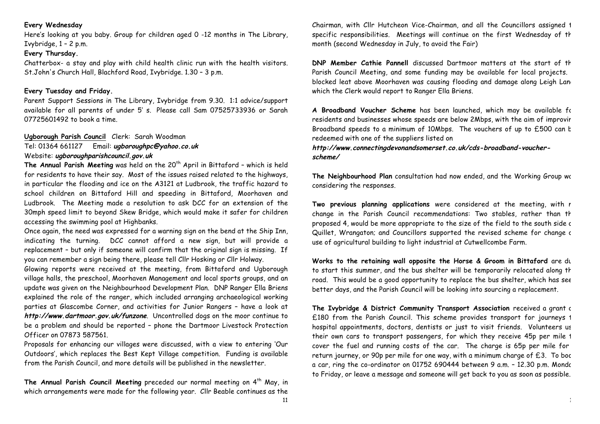## **Every Wednesday**

Here's looking at you baby. Group for children aged 0 -12 months in The Library, Ivybridge,  $1 - 2$  p.m.

## **Every Thursday.**

Chatterbox- a stay and play with child health clinic run with the health visitors. St.John's Church Hall, Blachford Road, Ivybridge. 1.30 – 3 p.m.

## **Every Tuesday and Friday.**

Parent Support Sessions in The Library, Ivybridge from 9.30. 1:1 advice/support available for all parents of under 5' s. Please call Sam 07525733936 or Sarah 07725601492 to book a time.

## **Ugborough Parish Council** Clerk: Sarah Woodman

Tel: 01364 661127 Email: **ugboroughpc@yahoo.co.uk** Website: **ugboroughparishcouncil.gov.uk**

**The Annual Parish Meeting** was held on the 20<sup>th</sup> April in Bittaford - which is held for residents to have their say. Most of the issues raised related to the highways, in particular the flooding and ice on the A3121 at Ludbrook, the traffic hazard to school children on Bittaford Hill and speeding in Bittaford, Moorhaven and Ludbrook. The Meeting made a resolution to ask DCC for an extension of the 30mph speed limit to beyond Skew Bridge, which would make it safer for children accessing the swimming pool at Highbanks.

Once again, the need was expressed for a warning sign on the bend at the Ship Inn, indicating the turning. DCC cannot afford a new sign, but will provide a replacement – but only if someone will confirm that the original sign is missing. If you can remember a sign being there, please tell Cllr Hosking or Cllr Holway.

Glowing reports were received at the meeting, from Bittaford and Ugborough village halls, the preschool, Moorhaven Management and local sports groups, and an update was given on the Neighbourhood Development Plan. DNP Ranger Ella Briens explained the role of the ranger, which included arranging archaeological working parties at Glascombe Corner, and activities for Junior Rangers – have a look at **http://www.dartmoor.gov.uk/funzone**. Uncontrolled dogs on the moor continue to be a problem and should be reported – phone the Dartmoor Livestock Protection Officer on 07873 587561.

Proposals for enhancing our villages were discussed, with a view to entering 'Our Outdoors', which replaces the Best Kept Village competition. Funding is available from the Parish Council, and more details will be published in the newsletter.

The Annual Parish Council Meeting preceded our normal meeting on 4<sup>th</sup> May, in which arrangements were made for the following year. Cllr Beable continues as the Chairman, with Cllr Hutcheon Vice-Chairman, and all the Councillors assigned 1 specific responsibilities. Meetings will continue on the first Wednesday of th month (second Wednesday in July, to avoid the Fair)

**DNP Member Cathie Pannell** discussed Dartmoor matters at the start of the Parish Council Meeting, and some funding may be available for local projects. blocked leat above Moorhaven was causing flooding and damage along Leigh Lane which the Clerk would report to Ranger Ella Briens.

**A Broadband Voucher Scheme** has been launched, which may be available for residents and businesses whose speeds are below 2Mbps, with the aim of improvir Broadband speeds to a minimum of 10Mbps. The vouchers of up to £500 can b redeemed with one of the suppliers listed on

**http://www.connectingdevonandsomerset.co.uk/cds-broadband-voucherscheme/**

The Neighbourhood Plan consultation had now ended, and the Working Group was considering the responses.

Two previous planning applications were considered at the meeting, with r change in the Parish Council recommendations: Two stables, rather than th proposed 4, would be more appropriate to the size of the field to the south side c Quillet, Wrangaton; and Councillors supported the revised scheme for change c use of agricultural building to light industrial at Cutwellcombe Farm.

Works to the retaining wall opposite the Horse & Groom in Bittaford are du to start this summer, and the bus shelter will be temporarily relocated along th road. This would be a good opportunity to replace the bus shelter, which has see better days, and the Parish Council will be looking into sourcing a replacement.

**The Ivybridge & District Community Transport Association** received a grant of £180 from the Parish Council. This scheme provides transport for journeys 1 hospital appointments, doctors, dentists or just to visit friends. Volunteers us their own cars to transport passengers, for which they receive 45p per mile 1 cover the fuel and running costs of the car. The charge is 65p per mile for return journey, or 90p per mile for one way, with a minimum charge of  $£3$ . To boc a car, ring the co-ordinator on 01752 690444 between 9 a.m. - 12.30 p.m. Mondc to Friday, or leave a message and someone will get back to you as soon as possible.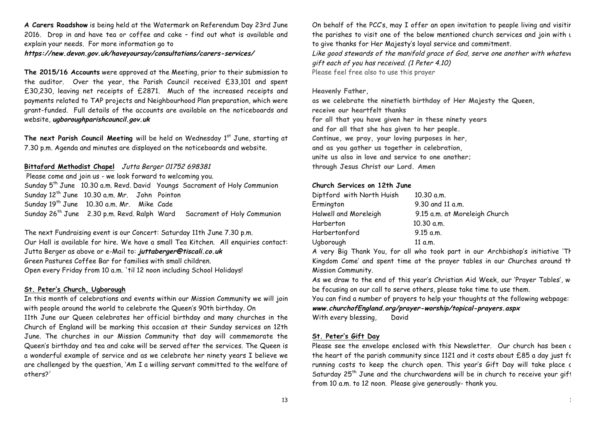**A Carers Roadshow** is being held at the Watermark on Referendum Day 23rd June 2016. Drop in and have tea or coffee and cake – find out what is available and explain your needs. For more information go to

**https://new.devon.gov.uk/haveyoursay/consultations/carers-services/**

**The 2015/16 Accounts** were approved at the Meeting, prior to their submission to the auditor. Over the year, the Parish Council received £33,101 and spent £30,230, leaving net receipts of £2871. Much of the increased receipts and payments related to TAP projects and Neighbourhood Plan preparation, which were grant-funded. Full details of the accounts are available on the noticeboards and website, **ugboroughparishcouncil.gov.uk**

The next Parish Council Meeting will be held on Wednesday 1<sup>st</sup> June, starting at 7.30 p.m. Agenda and minutes are displayed on the noticeboards and website.

## **Bittaford Methodist Chapel** Jutta Berger 01752 698381

Please come and join us - we look forward to welcoming you. Sunday 5<sup>th</sup> June 10.30 a.m. Revd. David Youngs Sacrament of Holy Communion Sunday 12<sup>th</sup> June 10.30 a.m. Mr. John Pointon Sunday 19<sup>th</sup> June 10.30 a.m. Mr. Mike Cade Sunday 26<sup>th</sup> June 2.30 p.m. Revd. Ralph Ward Sacrament of Holy Communion

The next Fundraising event is our Concert: Saturday 11th June 7.30 p.m. Our Hall is available for hire. We have a small Tea Kitchen. All enquiries contact: Jutta Berger as above or e-Mail to: **juttaberger@tiscali.co.uk** Green Pastures Coffee Bar for families with small children. Open every Friday from 10 a.m. 'til 12 noon including School Holidays!

## **St. Peter's Church, Ugborough**

In this month of celebrations and events within our Mission Community we will join with people around the world to celebrate the Queen's 90th birthday. On 11th June our Queen celebrates her official birthday and many churches in the

Church of England will be marking this occasion at their Sunday services on 12th June. The churches in our Mission Community that day will commemorate the Queen's birthday and tea and cake will be served after the services. The Queen is a wonderful example of service and as we celebrate her ninety years I believe we are challenged by the question, 'Am I a willing servant committed to the welfare of others?'

On behalf of the PCC's, may I offer an open invitation to people living and visitir the parishes to visit one of the below mentioned church services and join with u to give thanks for Her Majesty's loyal service and commitment. Like good stewards of the manifold grace of God, serve one another with whateve gift each of you has received. (1 Peter 4.10) Please feel free also to use this prayer

#### **Heavenly Father,**

**as we celebrate the ninetieth birthday of Her Majesty the Queen, receive our heartfelt thanks for all that you have given her in these ninety years and for all that she has given to her people. Continue, we pray, your loving purposes in her, and as you gather us together in celebration, unite us also in love and service to one another; through Jesus Christ our Lord. Amen**

#### **Church Services on 12th June**

| Diptford with North Huish | 10.30 a.m.                    |  |
|---------------------------|-------------------------------|--|
| Ermington                 | 9.30 and 11 a.m.              |  |
| Halwell and Moreleigh     | 9.15 a.m. at Moreleigh Church |  |
| Harberton                 | 10.30 a.m.                    |  |
| Harbertonford             | $9.15$ a.m.                   |  |
| Ugborough                 | 11 a.m.                       |  |

A very Big Thank You, for all who took part in our Archbishop's initiative 'Thy Kingdom Come' and spent time at the prayer tables in our Churches around the Mission Community.

As we draw to the end of this year's Christian Aid Week, our 'Prayer Tables', will be focusing on our call to serve others, please take time to use them.

You can find a number of prayers to help your thoughts at the following webpage: **www.churchofEngland.org/prayer-worship/topical-prayers.aspx** With every blessing, David

#### **St. Peter's Gift Day**

Please see the envelope enclosed with this Newsletter. Our church has been at the heart of the parish community since 1121 and it costs about  $£85$  a day just for running costs to keep the church open. This year's Gift Day will take place c Saturday  $25^{th}$  June and the churchwardens will be in church to receive your gift from 10 a.m. to 12 noon. Please give generously- thank you.